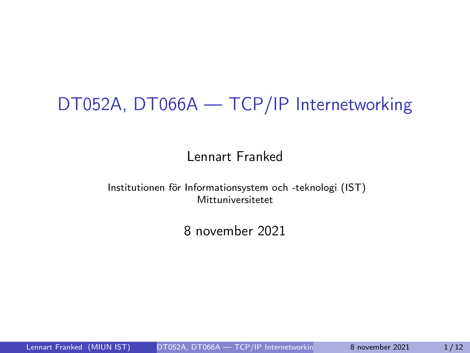# <span id="page-0-0"></span>DT052A, DT066A — TCP/IP Internetworking

### Lennart Franked

Institutionen för Informationsystem och -teknologi (IST) Mittuniversitetet

8 november 2021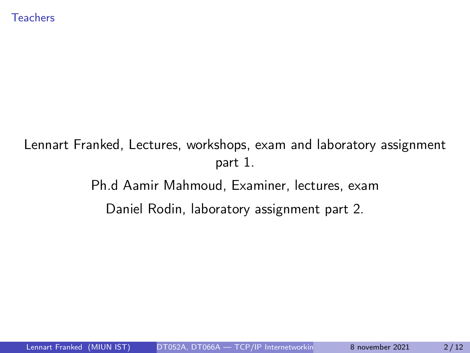## Lennart Franked, Lectures, workshops, exam and laboratory assignment part 1. Ph.d Aamir Mahmoud, Examiner, lectures, exam Daniel Rodin, laboratory assignment part 2.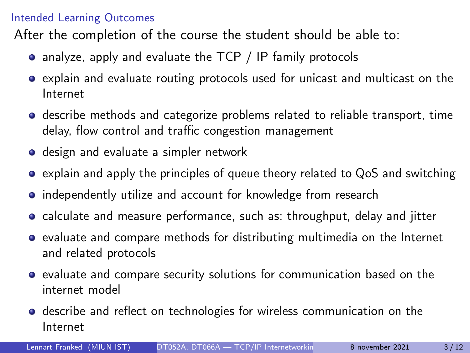#### Intended Learning Outcomes

After the completion of the course the student should be able to:

- analyze, apply and evaluate the TCP / IP family protocols
- explain and evaluate routing protocols used for unicast and multicast on the Internet
- **•** describe methods and categorize problems related to reliable transport, time delay, flow control and traffic congestion management
- **o** design and evaluate a simpler network
- explain and apply the principles of queue theory related to QoS and switching
- independently utilize and account for knowledge from research
- calculate and measure performance, such as: throughput, delay and jitter
- $\bullet$  evaluate and compare methods for distributing multimedia on the Internet and related protocols
- evaluate and compare security solutions for communication based on the internet model
- **o** describe and reflect on technologies for wireless communication on the Internet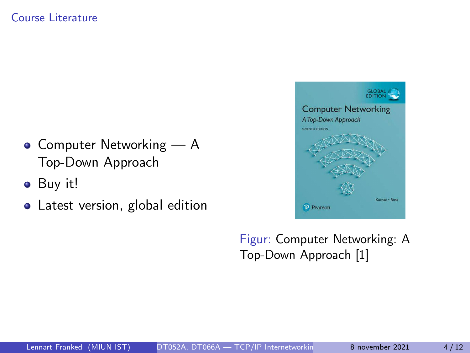#### Course Literature

- $\bullet$  Computer Networking  $A$ Top-Down Approach
- Buy it!
- Latest version, global edition



Figur: Computer Networking: A Top-Down Approach [\[1\]](#page-11-1)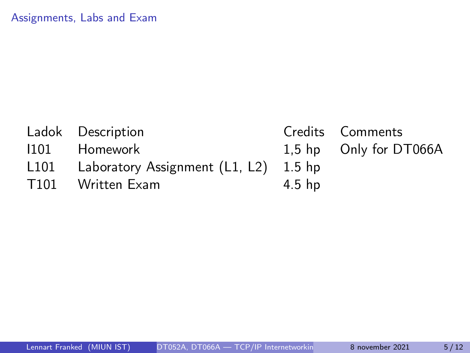| Ladok Description                          |          | Credits Comments       |
|--------------------------------------------|----------|------------------------|
| 1101 Homework                              |          | 1,5 hp Only for DT066A |
| L101 Laboratory Assignment (L1, L2) 1.5 hp |          |                        |
| T101 Written Exam                          | $4.5$ hp |                        |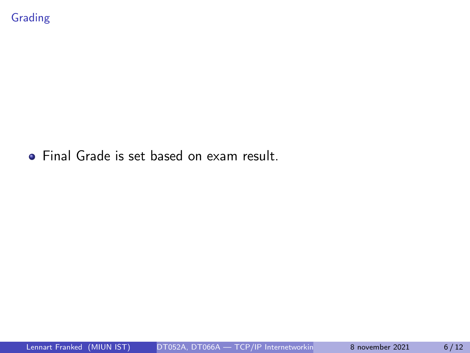**•** Final Grade is set based on exam result.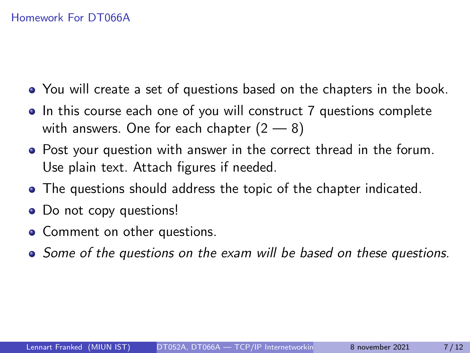#### Homework For DT066A

- You will create a set of questions based on the chapters in the book.
- In this course each one of you will construct 7 questions complete with answers. One for each chapter  $(2 - 8)$
- Post your question with answer in the correct thread in the forum. Use plain text. Attach figures if needed.
- The questions should address the topic of the chapter indicated.
- Do not copy questions!
- Comment on other questions.
- Some of the questions on the exam will be based on these questions.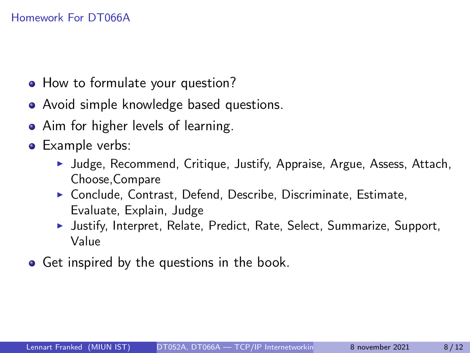- How to formulate your question?
- Avoid simple knowledge based questions.
- Aim for higher levels of learning.
- **•** Example verbs:
	- ▶ Judge, Recommend, Critique, Justify, Appraise, Argue, Assess, Attach, Choose,Compare
	- ▶ Conclude, Contrast, Defend, Describe, Discriminate, Estimate, Evaluate, Explain, Judge
	- ▶ Justify, Interpret, Relate, Predict, Rate, Select, Summarize, Support, Value
- **•** Get inspired by the questions in the book.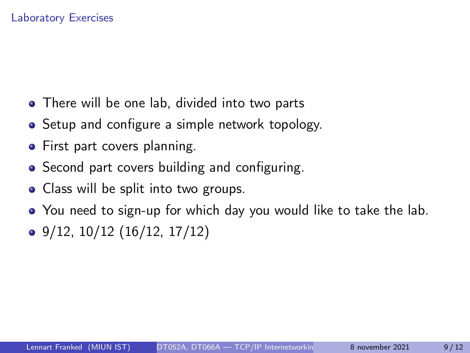#### Laboratory Exercises

- There will be one lab, divided into two parts
- Setup and configure a simple network topology.
- First part covers planning.
- Second part covers building and configuring.
- Class will be split into two groups.
- You need to sign-up for which day you would like to take the lab.
- $\bullet$  9/12, 10/12 (16/12, 17/12)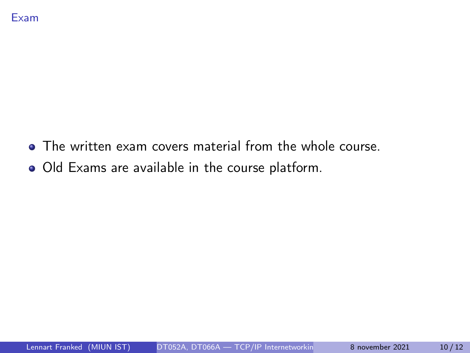- The written exam covers material from the whole course.
- Old Exams are available in the course platform.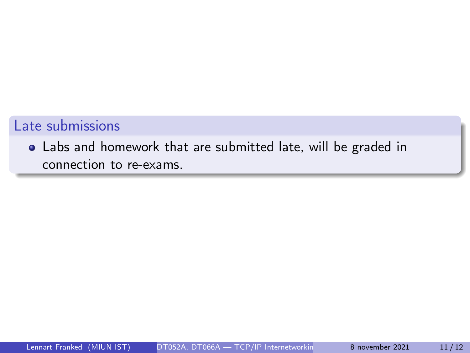### Late submissions

Labs and homework that are submitted late, will be graded in connection to re-exams.